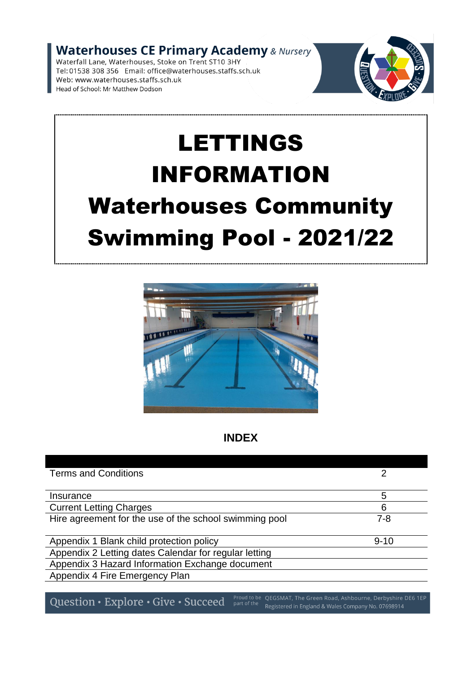Waterhouses CE Primary Academy & Nursery<br>Waterfall Lane, Waterhouses, Stoke on Trent ST10 3HY

Tel: 01538 308 356 Email: office@waterhouses.staffs.sch.uk Web: www.waterhouses.staffs.sch.uk Head of School: Mr Matthew Dodson



# LETTINGS INFORMATION Waterhouses Community Swimming Pool - 2021/22



# **INDEX**

| <b>Terms and Conditions</b>                            |          |
|--------------------------------------------------------|----------|
| Insurance                                              | 5        |
| <b>Current Letting Charges</b>                         | 6        |
| Hire agreement for the use of the school swimming pool | $7 - 8$  |
| Appendix 1 Blank child protection policy               | $9 - 10$ |
| Appendix 2 Letting dates Calendar for regular letting  |          |
| Appendix 3 Hazard Information Exchange document        |          |
| Appendix 4 Fire Emergency Plan                         |          |

Question • Explore • Give • Succeed Proud to be QEGSMAT, The Green Road, Ashbourne, Derbyshire DE6 1EP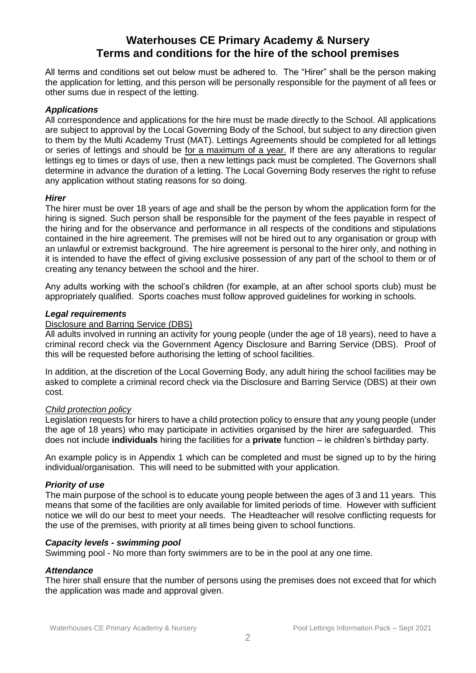## **Waterhouses CE Primary Academy & Nursery Terms and conditions for the hire of the school premises**

All terms and conditions set out below must be adhered to. The "Hirer" shall be the person making the application for letting, and this person will be personally responsible for the payment of all fees or other sums due in respect of the letting.

#### *Applications*

All correspondence and applications for the hire must be made directly to the School. All applications are subject to approval by the Local Governing Body of the School, but subject to any direction given to them by the Multi Academy Trust (MAT). Lettings Agreements should be completed for all lettings or series of lettings and should be for a maximum of a year. If there are any alterations to regular lettings eg to times or days of use, then a new lettings pack must be completed. The Governors shall determine in advance the duration of a letting. The Local Governing Body reserves the right to refuse any application without stating reasons for so doing.

#### *Hirer*

The hirer must be over 18 years of age and shall be the person by whom the application form for the hiring is signed. Such person shall be responsible for the payment of the fees payable in respect of the hiring and for the observance and performance in all respects of the conditions and stipulations contained in the hire agreement. The premises will not be hired out to any organisation or group with an unlawful or extremist background. The hire agreement is personal to the hirer only, and nothing in it is intended to have the effect of giving exclusive possession of any part of the school to them or of creating any tenancy between the school and the hirer.

Any adults working with the school's children (for example, at an after school sports club) must be appropriately qualified. Sports coaches must follow approved guidelines for working in schools.

#### *Legal requirements*

#### Disclosure and Barring Service (DBS)

All adults involved in running an activity for young people (under the age of 18 years), need to have a criminal record check via the Government Agency Disclosure and Barring Service (DBS). Proof of this will be requested before authorising the letting of school facilities.

In addition, at the discretion of the Local Governing Body, any adult hiring the school facilities may be asked to complete a criminal record check via the Disclosure and Barring Service (DBS) at their own cost.

#### *Child protection policy*

Legislation requests for hirers to have a child protection policy to ensure that any young people (under the age of 18 years) who may participate in activities organised by the hirer are safeguarded. This does not include **individuals** hiring the facilities for a **private** function – ie children's birthday party.

An example policy is in Appendix 1 which can be completed and must be signed up to by the hiring individual/organisation. This will need to be submitted with your application.

#### *Priority of use*

The main purpose of the school is to educate young people between the ages of 3 and 11 years. This means that some of the facilities are only available for limited periods of time. However with sufficient notice we will do our best to meet your needs. The Headteacher will resolve conflicting requests for the use of the premises, with priority at all times being given to school functions.

#### *Capacity levels - swimming pool*

Swimming pool - No more than forty swimmers are to be in the pool at any one time.

#### *Attendance*

The hirer shall ensure that the number of persons using the premises does not exceed that for which the application was made and approval given.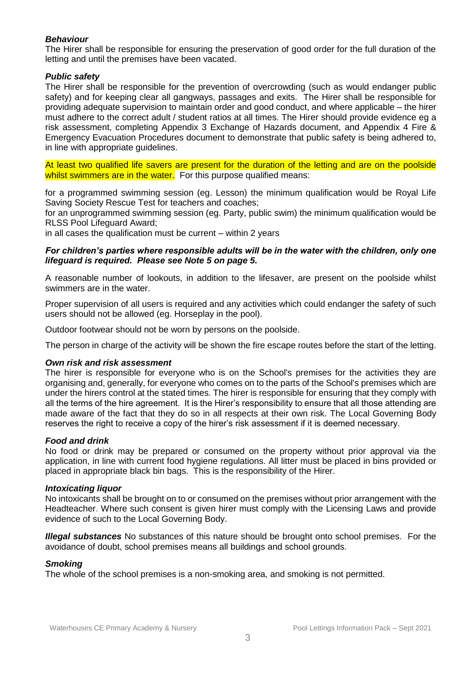#### *Behaviour*

The Hirer shall be responsible for ensuring the preservation of good order for the full duration of the letting and until the premises have been vacated.

#### *Public safety*

The Hirer shall be responsible for the prevention of overcrowding (such as would endanger public safety) and for keeping clear all gangways, passages and exits. The Hirer shall be responsible for providing adequate supervision to maintain order and good conduct, and where applicable – the hirer must adhere to the correct adult / student ratios at all times. The Hirer should provide evidence eg a risk assessment, completing Appendix 3 Exchange of Hazards document, and Appendix 4 Fire & Emergency Evacuation Procedures document to demonstrate that public safety is being adhered to, in line with appropriate guidelines.

At least two qualified life savers are present for the duration of the letting and are on the poolside whilst swimmers are in the water. For this purpose qualified means:

for a programmed swimming session (eg. Lesson) the minimum qualification would be Royal Life Saving Society Rescue Test for teachers and coaches;

for an unprogrammed swimming session (eg. Party, public swim) the minimum qualification would be RLSS Pool Lifeguard Award;

in all cases the qualification must be current – within 2 years

#### *For children's parties where responsible adults will be in the water with the children, only one lifeguard is required. Please see Note 5 on page 5.*

A reasonable number of lookouts, in addition to the lifesaver, are present on the poolside whilst swimmers are in the water.

Proper supervision of all users is required and any activities which could endanger the safety of such users should not be allowed (eg. Horseplay in the pool).

Outdoor footwear should not be worn by persons on the poolside.

The person in charge of the activity will be shown the fire escape routes before the start of the letting.

#### *Own risk and risk assessment*

The hirer is responsible for everyone who is on the School's premises for the activities they are organising and, generally, for everyone who comes on to the parts of the School's premises which are under the hirers control at the stated times. The hirer is responsible for ensuring that they comply with all the terms of the hire agreement. It is the Hirer's responsibility to ensure that all those attending are made aware of the fact that they do so in all respects at their own risk. The Local Governing Body reserves the right to receive a copy of the hirer's risk assessment if it is deemed necessary.

#### *Food and drink*

No food or drink may be prepared or consumed on the property without prior approval via the application, in line with current food hygiene regulations. All litter must be placed in bins provided or placed in appropriate black bin bags. This is the responsibility of the Hirer.

#### *Intoxicating liquor*

No intoxicants shall be brought on to or consumed on the premises without prior arrangement with the Headteacher. Where such consent is given hirer must comply with the Licensing Laws and provide evidence of such to the Local Governing Body.

*Illegal substances* No substances of this nature should be brought onto school premises. For the avoidance of doubt, school premises means all buildings and school grounds.

#### *Smoking*

The whole of the school premises is a non-smoking area, and smoking is not permitted.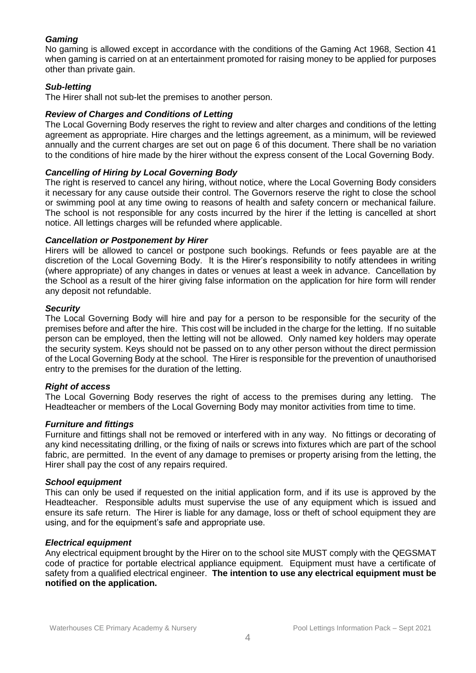#### *Gaming*

No gaming is allowed except in accordance with the conditions of the Gaming Act 1968, Section 41 when gaming is carried on at an entertainment promoted for raising money to be applied for purposes other than private gain.

#### *Sub-letting*

The Hirer shall not sub-let the premises to another person.

#### *Review of Charges and Conditions of Letting*

The Local Governing Body reserves the right to review and alter charges and conditions of the letting agreement as appropriate. Hire charges and the lettings agreement, as a minimum, will be reviewed annually and the current charges are set out on page 6 of this document. There shall be no variation to the conditions of hire made by the hirer without the express consent of the Local Governing Body.

#### *Cancelling of Hiring by Local Governing Body*

The right is reserved to cancel any hiring, without notice, where the Local Governing Body considers it necessary for any cause outside their control. The Governors reserve the right to close the school or swimming pool at any time owing to reasons of health and safety concern or mechanical failure. The school is not responsible for any costs incurred by the hirer if the letting is cancelled at short notice. All lettings charges will be refunded where applicable.

#### *Cancellation or Postponement by Hirer*

Hirers will be allowed to cancel or postpone such bookings. Refunds or fees payable are at the discretion of the Local Governing Body. It is the Hirer's responsibility to notify attendees in writing (where appropriate) of any changes in dates or venues at least a week in advance. Cancellation by the School as a result of the hirer giving false information on the application for hire form will render any deposit not refundable.

#### *Security*

The Local Governing Body will hire and pay for a person to be responsible for the security of the premises before and after the hire. This cost will be included in the charge for the letting. If no suitable person can be employed, then the letting will not be allowed. Only named key holders may operate the security system. Keys should not be passed on to any other person without the direct permission of the Local Governing Body at the school. The Hirer is responsible for the prevention of unauthorised entry to the premises for the duration of the letting.

#### *Right of access*

The Local Governing Body reserves the right of access to the premises during any letting. The Headteacher or members of the Local Governing Body may monitor activities from time to time.

#### *Furniture and fittings*

Furniture and fittings shall not be removed or interfered with in any way. No fittings or decorating of any kind necessitating drilling, or the fixing of nails or screws into fixtures which are part of the school fabric, are permitted. In the event of any damage to premises or property arising from the letting, the Hirer shall pay the cost of any repairs required.

#### *School equipment*

This can only be used if requested on the initial application form, and if its use is approved by the Headteacher. Responsible adults must supervise the use of any equipment which is issued and ensure its safe return. The Hirer is liable for any damage, loss or theft of school equipment they are using, and for the equipment's safe and appropriate use.

#### *Electrical equipment*

Any electrical equipment brought by the Hirer on to the school site MUST comply with the QEGSMAT code of practice for portable electrical appliance equipment. Equipment must have a certificate of safety from a qualified electrical engineer. **The intention to use any electrical equipment must be notified on the application.**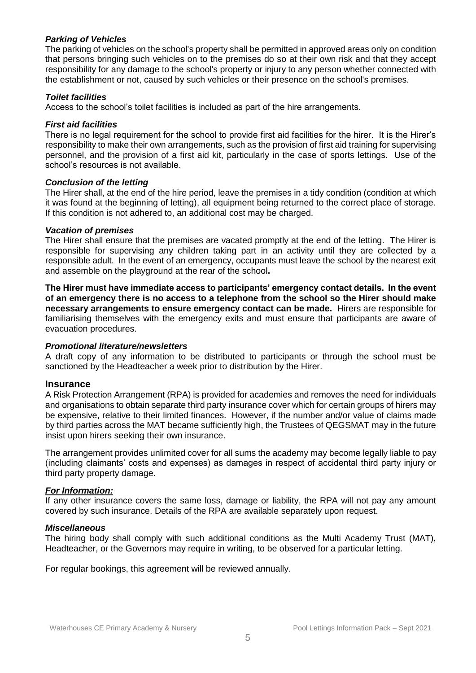#### *Parking of Vehicles*

The parking of vehicles on the school's property shall be permitted in approved areas only on condition that persons bringing such vehicles on to the premises do so at their own risk and that they accept responsibility for any damage to the school's property or injury to any person whether connected with the establishment or not, caused by such vehicles or their presence on the school's premises.

#### *Toilet facilities*

Access to the school's toilet facilities is included as part of the hire arrangements.

#### *First aid facilities*

There is no legal requirement for the school to provide first aid facilities for the hirer. It is the Hirer's responsibility to make their own arrangements, such as the provision of first aid training for supervising personnel, and the provision of a first aid kit, particularly in the case of sports lettings. Use of the school's resources is not available.

#### *Conclusion of the letting*

The Hirer shall, at the end of the hire period, leave the premises in a tidy condition (condition at which it was found at the beginning of letting), all equipment being returned to the correct place of storage. If this condition is not adhered to, an additional cost may be charged.

#### *Vacation of premises*

The Hirer shall ensure that the premises are vacated promptly at the end of the letting. The Hirer is responsible for supervising any children taking part in an activity until they are collected by a responsible adult. In the event of an emergency, occupants must leave the school by the nearest exit and assemble on the playground at the rear of the school**.** 

**The Hirer must have immediate access to participants' emergency contact details. In the event of an emergency there is no access to a telephone from the school so the Hirer should make necessary arrangements to ensure emergency contact can be made.** Hirers are responsible for familiarising themselves with the emergency exits and must ensure that participants are aware of evacuation procedures.

#### *Promotional literature/newsletters*

A draft copy of any information to be distributed to participants or through the school must be sanctioned by the Headteacher a week prior to distribution by the Hirer.

#### **Insurance**

A Risk Protection Arrangement (RPA) is provided for academies and removes the need for individuals and organisations to obtain separate third party insurance cover which for certain groups of hirers may be expensive, relative to their limited finances. However, if the number and/or value of claims made by third parties across the MAT became sufficiently high, the Trustees of QEGSMAT may in the future insist upon hirers seeking their own insurance.

The arrangement provides unlimited cover for all sums the academy may become legally liable to pay (including claimants' costs and expenses) as damages in respect of accidental third party injury or third party property damage.

#### *For Information:*

If any other insurance covers the same loss, damage or liability, the RPA will not pay any amount covered by such insurance. Details of the RPA are available separately upon request.

#### *Miscellaneous*

The hiring body shall comply with such additional conditions as the Multi Academy Trust (MAT), Headteacher, or the Governors may require in writing, to be observed for a particular letting.

For regular bookings, this agreement will be reviewed annually.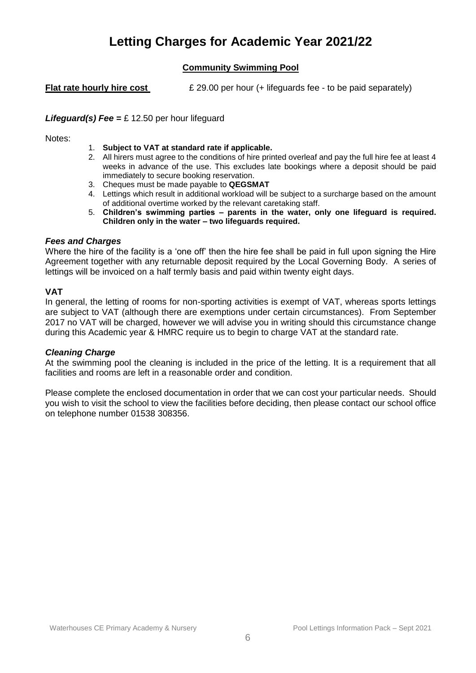# **Letting Charges for Academic Year 2021/22**

## **Community Swimming Pool**

**Flat rate hourly hire cost**  $\&$  29.00 per hour (+ lifeguards fee - to be paid separately)

#### *Lifeguard(s) Fee =* £ 12.50 per hour lifeguard

Notes:

- 1. **Subject to VAT at standard rate if applicable.**
- 2. All hirers must agree to the conditions of hire printed overleaf and pay the full hire fee at least 4 weeks in advance of the use. This excludes late bookings where a deposit should be paid immediately to secure booking reservation.
- 3. Cheques must be made payable to **QEGSMAT**
- 4. Lettings which result in additional workload will be subject to a surcharge based on the amount of additional overtime worked by the relevant caretaking staff.
- 5. **Children's swimming parties – parents in the water, only one lifeguard is required. Children only in the water – two lifeguards required.**

#### *Fees and Charges*

Where the hire of the facility is a 'one off' then the hire fee shall be paid in full upon signing the Hire Agreement together with any returnable deposit required by the Local Governing Body. A series of lettings will be invoiced on a half termly basis and paid within twenty eight days.

#### **VAT**

In general, the letting of rooms for non-sporting activities is exempt of VAT, whereas sports lettings are subject to VAT (although there are exemptions under certain circumstances). From September 2017 no VAT will be charged, however we will advise you in writing should this circumstance change during this Academic year & HMRC require us to begin to charge VAT at the standard rate.

#### *Cleaning Charge*

At the swimming pool the cleaning is included in the price of the letting. It is a requirement that all facilities and rooms are left in a reasonable order and condition.

Please complete the enclosed documentation in order that we can cost your particular needs. Should you wish to visit the school to view the facilities before deciding, then please contact our school office on telephone number 01538 308356.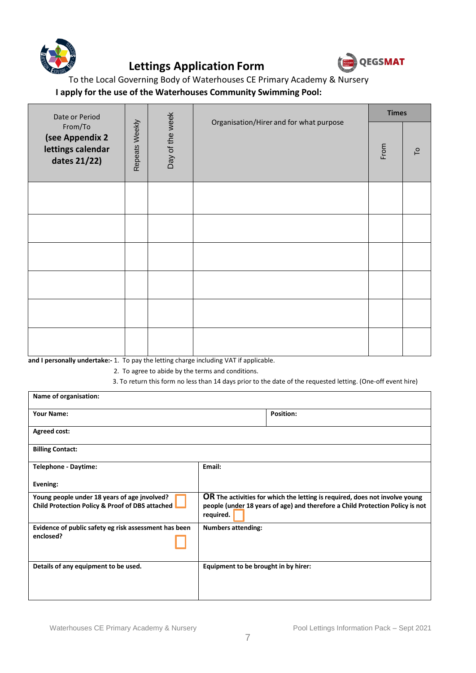

# **Lettings Application Form**



To the Local Governing Body of Waterhouses CE Primary Academy & Nursery

## **I apply for the use of the Waterhouses Community Swimming Pool:**

| Date or Period<br>From/To<br>(see Appendix 2<br>lettings calendar<br>dates 21/22) |                |                 |                                         | <b>Times</b> |                           |
|-----------------------------------------------------------------------------------|----------------|-----------------|-----------------------------------------|--------------|---------------------------|
|                                                                                   | Repeats Weekly | Day of the week | Organisation/Hirer and for what purpose | From         | $\mathsf{L}^{\mathsf{o}}$ |
|                                                                                   |                |                 |                                         |              |                           |
|                                                                                   |                |                 |                                         |              |                           |
|                                                                                   |                |                 |                                         |              |                           |
|                                                                                   |                |                 |                                         |              |                           |
|                                                                                   |                |                 |                                         |              |                           |
|                                                                                   |                |                 |                                         |              |                           |

**and I personally undertake:-** 1. To pay the letting charge including VAT if applicable.

2. To agree to abide by the terms and conditions.

3. To return this form no less than 14 days prior to the date of the requested letting. (One-off event hire)

| Name of organisation:                                                                           |                                      |                                                                                                                                                              |
|-------------------------------------------------------------------------------------------------|--------------------------------------|--------------------------------------------------------------------------------------------------------------------------------------------------------------|
| <b>Your Name:</b>                                                                               |                                      | <b>Position:</b>                                                                                                                                             |
| Agreed cost:                                                                                    |                                      |                                                                                                                                                              |
| <b>Billing Contact:</b>                                                                         |                                      |                                                                                                                                                              |
| Telephone - Daytime:                                                                            | Email:                               |                                                                                                                                                              |
| Evening:                                                                                        |                                      |                                                                                                                                                              |
| Young people under 18 years of age jnvolved?<br>Child Protection Policy & Proof of DBS attached | required.                            | OR The activities for which the letting is required, does not involve young<br>people (under 18 years of age) and therefore a Child Protection Policy is not |
| Evidence of public safety eg risk assessment has been                                           | <b>Numbers attending:</b>            |                                                                                                                                                              |
| enclosed?                                                                                       |                                      |                                                                                                                                                              |
| Details of any equipment to be used.                                                            | Equipment to be brought in by hirer: |                                                                                                                                                              |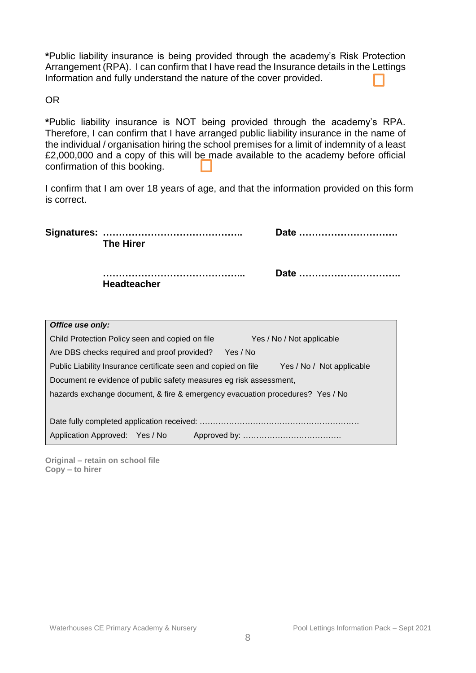**\***Public liability insurance is being provided through the academy's Risk Protection Arrangement (RPA). I can confirm that I have read the Insurance details in the Lettings Information and fully understand the nature of the cover provided.

OR

**\***Public liability insurance is NOT being provided through the academy's RPA. Therefore, I can confirm that I have arranged public liability insurance in the name of the individual / organisation hiring the school premises for a limit of indemnity of a least £2,000,000 and a copy of this will be made available to the academy before official confirmation of this booking.

I confirm that I am over 18 years of age, and that the information provided on this form is correct.

|                  | <b>The Hirer</b>                                | Date                                                                                    |  |
|------------------|-------------------------------------------------|-----------------------------------------------------------------------------------------|--|
|                  | <b>Headteacher</b>                              | Date                                                                                    |  |
| Office use only: |                                                 |                                                                                         |  |
|                  |                                                 |                                                                                         |  |
|                  | Child Protection Policy seen and copied on file | Yes / No / Not applicable                                                               |  |
|                  | Are DBS checks required and proof provided?     | Yes / No                                                                                |  |
|                  |                                                 | Public Lightlity Incurance cortificate seen and copied on file Meet Meet Not applicable |  |

Public Liability Insurance certificate seen and copied on file Yes / No / Not applicable Document re evidence of public safety measures eg risk assessment,

hazards exchange document, & fire & emergency evacuation procedures? Yes / No

| Application Approved: Yes / No |  |  |  |  |
|--------------------------------|--|--|--|--|

**Original – retain on school file Copy – to hirer**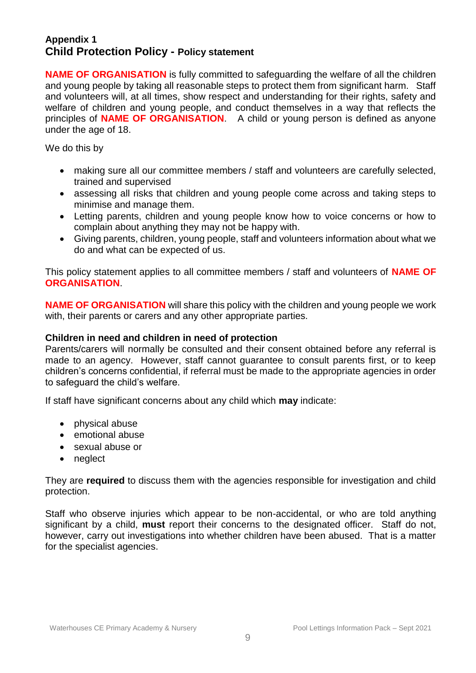## **Appendix 1 Child Protection Policy - Policy statement**

**NAME OF ORGANISATION** is fully committed to safeguarding the welfare of all the children and young people by taking all reasonable steps to protect them from significant harm. Staff and volunteers will, at all times, show respect and understanding for their rights, safety and welfare of children and young people, and conduct themselves in a way that reflects the principles of **NAME OF ORGANISATION**. A child or young person is defined as anyone under the age of 18.

We do this by

- making sure all our committee members / staff and volunteers are carefully selected, trained and supervised
- assessing all risks that children and young people come across and taking steps to minimise and manage them.
- Letting parents, children and young people know how to voice concerns or how to complain about anything they may not be happy with.
- Giving parents, children, young people, staff and volunteers information about what we do and what can be expected of us.

This policy statement applies to all committee members / staff and volunteers of **NAME OF ORGANISATION**.

**NAME OF ORGANISATION** will share this policy with the children and young people we work with, their parents or carers and any other appropriate parties.

## **Children in need and children in need of protection**

Parents/carers will normally be consulted and their consent obtained before any referral is made to an agency. However, staff cannot guarantee to consult parents first, or to keep children's concerns confidential, if referral must be made to the appropriate agencies in order to safeguard the child's welfare.

If staff have significant concerns about any child which **may** indicate:

- physical abuse
- emotional abuse
- sexual abuse or
- neglect

They are **required** to discuss them with the agencies responsible for investigation and child protection.

Staff who observe injuries which appear to be non-accidental, or who are told anything significant by a child, **must** report their concerns to the designated officer. Staff do not, however, carry out investigations into whether children have been abused. That is a matter for the specialist agencies.